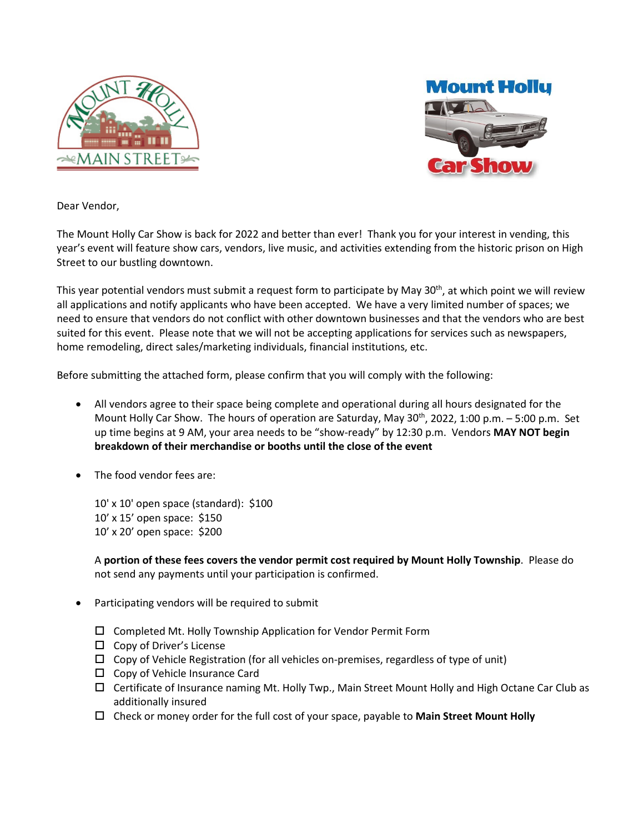



Dear Vendor,

The Mount Holly Car Show is back for 2022 and better than ever! Thank you for your interest in vending, this year's event will feature show cars, vendors, live music, and activities extending from the historic prison on High Street to our bustling downtown.

This year potential vendors must submit a request form to participate by May 30<sup>th</sup>, at which point we will review all applications and notify applicants who have been accepted. We have a very limited number of spaces; we need to ensure that vendors do not conflict with other downtown businesses and that the vendors who are best suited for this event. Please note that we will not be accepting applications for services such as newspapers, home remodeling, direct sales/marketing individuals, financial institutions, etc.

Before submitting the attached form, please confirm that you will comply with the following:

- All vendors agree to their space being complete and operational during all hours designated for the Mount Holly Car Show. The hours of operation are Saturday, May  $30<sup>th</sup>$ , 2022, 1:00 p.m. – 5:00 p.m. Set up time begins at 9 AM, your area needs to be "show-ready" by 12:30 p.m. Vendors **MAY NOT begin breakdown of their merchandise or booths until the close of the event**
- The food vendor fees are:

10' x 10' open space (standard): \$100 10' x 15' open space: \$150 10' x 20' open space: \$200

A **portion of these fees covers the vendor permit cost required by Mount Holly Township**. Please do not send any payments until your participation is confirmed.

- Participating vendors will be required to submit
	- $\square$  Completed Mt. Holly Township Application for Vendor Permit Form
	- $\Box$  Copy of Driver's License
	- $\Box$  Copy of Vehicle Registration (for all vehicles on-premises, regardless of type of unit)
	- $\square$  Copy of Vehicle Insurance Card
	- $\Box$  Certificate of Insurance naming Mt. Holly Twp., Main Street Mount Holly and High Octane Car Club as additionally insured
	- Check or money order for the full cost of your space, payable to **Main Street Mount Holly**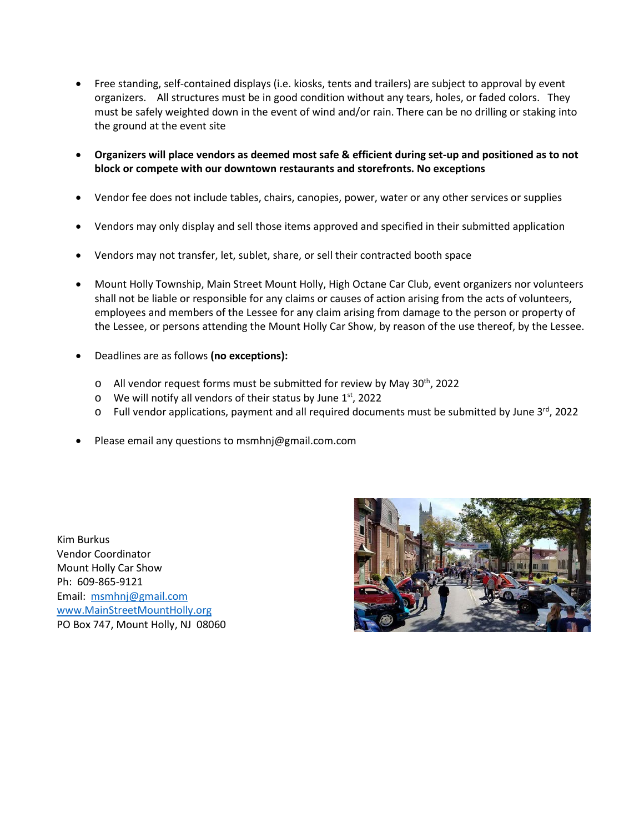- Free standing, self-contained displays (i.e. kiosks, tents and trailers) are subject to approval by event organizers. All structures must be in good condition without any tears, holes, or faded colors. They must be safely weighted down in the event of wind and/or rain. There can be no drilling or staking into the ground at the event site
- **Organizers will place vendors as deemed most safe & efficient during set-up and positioned as to not block or compete with our downtown restaurants and storefronts. No exceptions**
- Vendor fee does not include tables, chairs, canopies, power, water or any other services or supplies
- Vendors may only display and sell those items approved and specified in their submitted application
- Vendors may not transfer, let, sublet, share, or sell their contracted booth space
- Mount Holly Township, Main Street Mount Holly, High Octane Car Club, event organizers nor volunteers shall not be liable or responsible for any claims or causes of action arising from the acts of volunteers, employees and members of the Lessee for any claim arising from damage to the person or property of the Lessee, or persons attending the Mount Holly Car Show, by reason of the use thereof, by the Lessee.
- Deadlines are as follows **(no exceptions):**
	- $\circ$  All vendor request forms must be submitted for review by May 30<sup>th</sup>, 2022
	- $\circ$  We will notify all vendors of their status by June 1st, 2022
	- $\circ$  Full vendor applications, payment and all required documents must be submitted by June 3<sup>rd</sup>, 2022
- Please email any questions to msmhnj@gmail.com.com

Kim Burkus Vendor Coordinator Mount Holly Car Show Ph: 609-865-9121 Email: [msmhnj@gmail.com](mailto:msmhnj@gmail.com) [www.MainStreetMountHolly.o](http://www.mainstreetmountholly./)rg PO Box 747, Mount Holly, NJ 08060